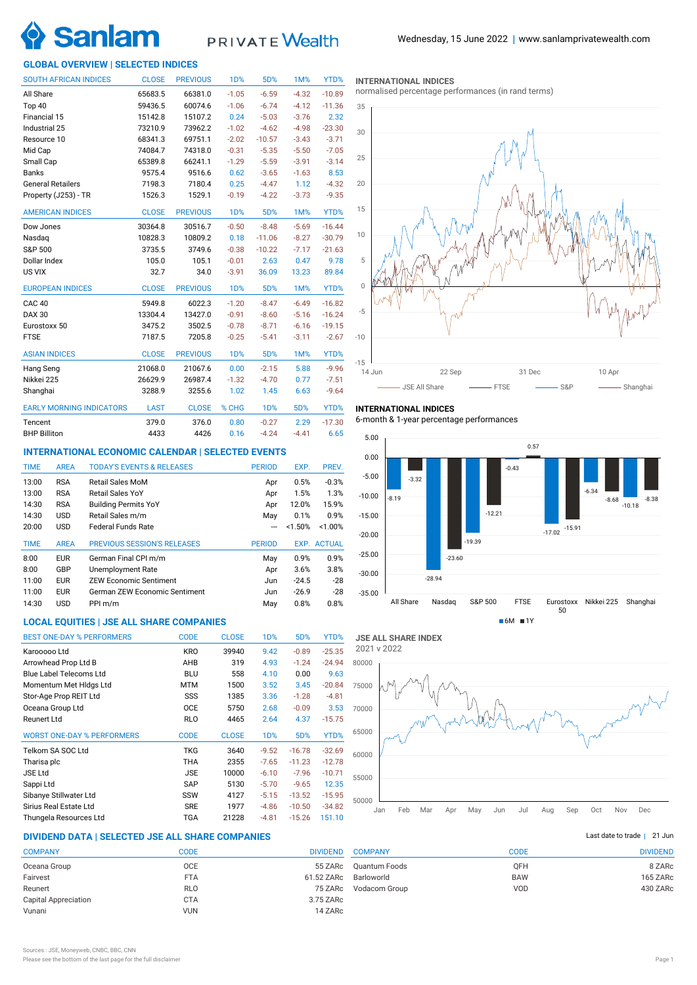# **Sanlar**

## **PRIVATE** Wealth

#### **GLOBAL OVERVIEW | SELECTED INDICES**

| <b>SOUTH AFRICAN INDICES</b>    | <b>CLOSE</b> | <b>PREVIOUS</b> | <b>1D%</b>       | 5D%              | 1M%     | YTD%     |
|---------------------------------|--------------|-----------------|------------------|------------------|---------|----------|
| All Share                       | 65683.5      | 66381.0         | $-1.05$          | $-6.59$          | $-4.32$ | $-10.89$ |
| Top 40                          | 59436.5      | 60074.6         | $-1.06$          | $-6.74$          | $-4.12$ | $-11.36$ |
| Financial 15                    | 15142.8      | 15107.2         | 0.24             | $-5.03$          | $-3.76$ | 2.32     |
| Industrial 25                   | 73210.9      | 73962.2         | $-1.02$          | $-4.62$          | $-4.98$ | $-23.30$ |
| Resource 10                     | 68341.3      | 69751.1         | $-2.02$          | $-10.57$         | $-3.43$ | $-3.71$  |
| Mid Cap                         | 74084.7      | 74318.0         | $-0.31$          | $-5.35$          | $-5.50$ | $-7.05$  |
| Small Cap                       | 65389.8      | 66241.1         | $-1.29$          | $-5.59$          | $-3.91$ | $-3.14$  |
| <b>Banks</b>                    | 9575.4       | 9516.6          | 0.62             | $-3.65$          | $-1.63$ | 8.53     |
| <b>General Retailers</b>        | 7198.3       | 7180.4          | 0.25             | $-4.47$          | 1.12    | $-4.32$  |
| Property (J253) - TR            | 1526.3       | 1529.1          | $-0.19$          | $-4.22$          | $-3.73$ | $-9.35$  |
| <b>AMERICAN INDICES</b>         | <b>CLOSE</b> | <b>PREVIOUS</b> | 1 <sub>D</sub> % | 5D%              | 1M%     | YTD%     |
| Dow Jones                       | 30364.8      | 30516.7         | $-0.50$          | $-8.48$          | $-5.69$ | $-16.44$ |
| Nasdag                          | 10828.3      | 10809.2         | 0.18             | $-11.06$         | $-8.27$ | $-30.79$ |
| S&P 500                         | 3735.5       | 3749.6          | $-0.38$          | $-10.22$         | $-7.17$ | $-21.63$ |
| Dollar Index                    | 105.0        | 105.1           | $-0.01$          | 2.63             | 0.47    | 9.78     |
| US VIX                          | 32.7         | 34.0            | $-3.91$          | 36.09            | 13.23   | 89.84    |
| <b>EUROPEAN INDICES</b>         | <b>CLOSE</b> | <b>PREVIOUS</b> | <b>1D%</b>       | 5D%              | 1M%     | YTD%     |
| CAC <sub>40</sub>               | 5949.8       | 6022.3          | $-1.20$          | $-8.47$          | $-6.49$ | $-16.82$ |
| DAX 30                          | 13304.4      | 13427.0         | $-0.91$          | $-8.60$          | $-5.16$ | $-16.24$ |
| Eurostoxx 50                    | 3475.2       | 3502.5          | $-0.78$          | $-8.71$          | $-6.16$ | $-19.15$ |
| <b>FTSE</b>                     | 7187.5       | 7205.8          | $-0.25$          | $-5.41$          | $-3.11$ | $-2.67$  |
| <b>ASIAN INDICES</b>            | <b>CLOSE</b> | <b>PREVIOUS</b> | <b>1D%</b>       | 5D%              | 1M%     | YTD%     |
| Hang Seng                       | 21068.0      | 21067.6         | 0.00             | $-2.15$          | 5.88    | $-9.96$  |
| Nikkei 225                      | 26629.9      | 26987.4         | $-1.32$          | $-4.70$          | 0.77    | $-7.51$  |
| Shanghai                        | 3288.9       | 3255.6          | 1.02             | 1.45             | 6.63    | $-9.64$  |
| <b>EARLY MORNING INDICATORS</b> | <b>LAST</b>  | <b>CLOSE</b>    | % CHG            | 1 <sub>D</sub> % | 5D%     | YTD%     |
| Tencent                         | 379.0        | 376.0           | 0.80             | $-0.27$          | 2.29    | $-17.30$ |
| <b>BHP Billiton</b>             | 4433         | 4426            | 0.16             | $-4.24$          | $-4.41$ | 6.65     |

#### **INTERNATIONAL ECONOMIC CALENDAR | SELECTED EVENTS**

| <b>AREA</b> | <b>TODAY'S EVENTS &amp; RELEASES</b> | <b>PERIOD</b> | EXP.    | PREV.         |
|-------------|--------------------------------------|---------------|---------|---------------|
| <b>RSA</b>  | <b>Retail Sales MoM</b>              | Apr           | 0.5%    | $-0.3%$       |
| <b>RSA</b>  | Retail Sales YoY                     | Apr           | 1.5%    | 1.3%          |
| <b>RSA</b>  | <b>Building Permits YoY</b>          | Apr           | 12.0%   | 15.9%         |
| <b>USD</b>  | Retail Sales m/m                     | May           | 0.1%    | 0.9%          |
| <b>USD</b>  | <b>Federal Funds Rate</b>            |               | < 1.50% | < 1.00%       |
| <b>AREA</b> | <b>PREVIOUS SESSION'S RELEASES</b>   | <b>PERIOD</b> | EXP.    | <b>ACTUAL</b> |
| <b>EUR</b>  | German Final CPI m/m                 | May           | 0.9%    | 0.9%          |
| GBP         | Unemployment Rate                    | Apr           | 3.6%    | 3.8%          |
| <b>EUR</b>  | <b>ZEW Economic Sentiment</b>        | Jun           | $-24.5$ | $-28$         |
| <b>EUR</b>  | German ZEW Economic Sentiment        | Jun           | $-26.9$ | $-28$         |
|             | PPI m/m                              | May           | 0.8%    | 0.8%          |
|             | <b>USD</b>                           |               |         |               |

### **LOCAL EQUITIES | JSE ALL SHARE COMPANIES**

| <b>BEST ONE-DAY % PERFORMERS</b>  | <b>CODE</b> | <b>CLOSE</b> | 1 <sub>D</sub> % | 5D%      | YTD%     |
|-----------------------------------|-------------|--------------|------------------|----------|----------|
| Karooooo Ltd                      | <b>KRO</b>  | 39940        | 9.42             | $-0.89$  | $-25.35$ |
| Arrowhead Prop Ltd B              | AHB         | 319          | 4.93             | $-1.24$  | $-24.94$ |
| Blue Label Telecoms Ltd           | <b>BLU</b>  | 558          | 4.10             | 0.00     | 9.63     |
| Momentum Met Hidgs Ltd            | MTM         | 1500         | 3.52             | 3.45     | $-20.84$ |
| Stor-Age Prop REIT Ltd            | SSS         | 1385         | 3.36             | $-1.28$  | $-4.81$  |
| Oceana Group Ltd                  | <b>OCE</b>  | 5750         | 2.68             | $-0.09$  | 3.53     |
| <b>Reunert Ltd</b>                | <b>RLO</b>  | 4465         | 2.64             | 4.37     | $-15.75$ |
| <b>WORST ONE-DAY % PERFORMERS</b> | <b>CODE</b> | <b>CLOSE</b> | 1 <sub>D</sub> % | 5D%      | YTD%     |
| Telkom SA SOC Ltd                 | <b>TKG</b>  | 3640         | $-9.52$          | $-16.78$ | $-32.69$ |
| Tharisa plc                       | THA         | 2355         | $-7.65$          | $-11.23$ | $-12.78$ |
| <b>JSE Ltd</b>                    | <b>JSE</b>  | 10000        | $-6.10$          | $-7.96$  | $-10.71$ |
| Sappi Ltd                         | SAP         | 5130         | $-5.70$          | $-9.65$  | 12.35    |
| Sibanye Stillwater Ltd            | SSW         | 4127         | $-5.15$          | $-13.52$ | $-15.95$ |
| Sirius Real Estate Ltd            | <b>SRE</b>  | 1977         | $-4.86$          | $-10.50$ | $-34.82$ |
| Thungela Resources Ltd            | TGA         | 21228        | $-4.81$          | $-15.26$ | 151.10   |

#### **DIVIDEND DATA | SELECTED JSE ALL SHARE COMPANIES |**

| <b>COMPANY</b>              | CODE       | <b>DIVIDEND</b> |
|-----------------------------|------------|-----------------|
| Oceana Group                | <b>OCE</b> | 55 ZARc         |
| Fairvest                    | <b>FTA</b> | 61.52 ZARc      |
| Reunert                     | <b>RLO</b> | 75 ZARc         |
| <b>Capital Appreciation</b> | <b>CTA</b> | 3.75 ZARc       |
| Vunani                      | <b>VUN</b> | 14 ZARc         |
|                             |            |                 |

#### **INTERNATIONAL INDICES**

normalised percentage performances (in rand terms)



#### **INTERNATIONAL INDICES**

6-month & 1-year percentage performances





#### Last date to trade | 21 Jun

|            | <b>DIVIDEND</b> |
|------------|-----------------|
|            |                 |
| <b>OFH</b> | 8 ZARc          |
| <b>BAW</b> | 165 ZARc        |
| VOD        | 430 ZARc        |
|            | CODE            |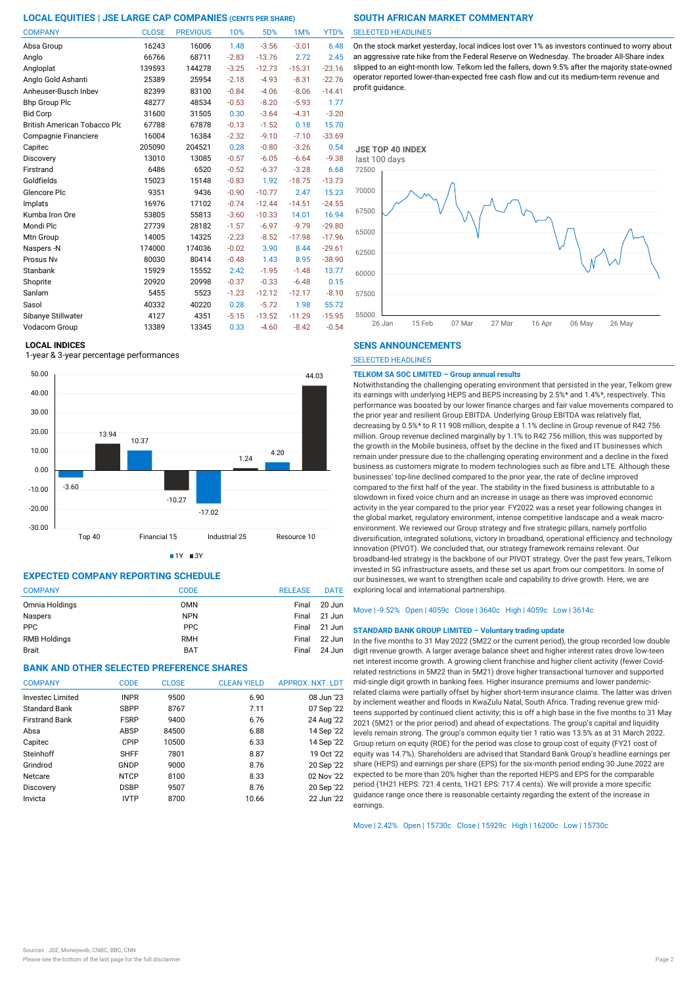| <b>COMPANY</b>                      | <b>CLOSE</b> | <b>PREVIOUS</b> | <b>1D%</b> | 5D%      | 1M%      | YTD%     |
|-------------------------------------|--------------|-----------------|------------|----------|----------|----------|
| Absa Group                          | 16243        | 16006           | 1.48       | $-3.56$  | $-3.01$  | 6.48     |
| Anglo                               | 66766        | 68711           | $-2.83$    | $-13.76$ | 2.72     | 2.45     |
| Angloplat                           | 139593       | 144278          | $-3.25$    | $-12.73$ | $-15.31$ | $-23.16$ |
| Anglo Gold Ashanti                  | 25389        | 25954           | $-2.18$    | $-4.93$  | $-8.31$  | $-22.76$ |
| Anheuser-Busch Inbev                | 82399        | 83100           | $-0.84$    | $-4.06$  | $-8.06$  | $-14.41$ |
| <b>Bhp Group Plc</b>                | 48277        | 48534           | $-0.53$    | $-8.20$  | $-5.93$  | 1.77     |
| <b>Bid Corp</b>                     | 31600        | 31505           | 0.30       | $-3.64$  | $-4.31$  | $-3.20$  |
| <b>British American Tobacco Plo</b> | 67788        | 67878           | $-0.13$    | $-1.52$  | 0.18     | 15.70    |
| Compagnie Financiere                | 16004        | 16384           | $-2.32$    | $-9.10$  | $-7.10$  | $-33.69$ |
| Capitec                             | 205090       | 204521          | 0.28       | $-0.80$  | $-3.26$  | 0.54     |
| Discovery                           | 13010        | 13085           | $-0.57$    | $-6.05$  | $-6.64$  | $-9.38$  |
| Firstrand                           | 6486         | 6520            | $-0.52$    | $-6.37$  | $-3.28$  | 6.68     |
| Goldfields                          | 15023        | 15148           | $-0.83$    | 1.92     | $-18.75$ | $-13.73$ |
| Glencore Plc                        | 9351         | 9436            | $-0.90$    | $-10.77$ | 2.47     | 15.23    |
| Implats                             | 16976        | 17102           | $-0.74$    | $-12.44$ | $-14.51$ | $-24.55$ |
| Kumba Iron Ore                      | 53805        | 55813           | $-3.60$    | $-10.33$ | 14.01    | 16.94    |
| Mondi Plc                           | 27739        | 28182           | $-1.57$    | $-6.97$  | $-9.79$  | $-29.80$ |
| Mtn Group                           | 14005        | 14325           | $-2.23$    | $-8.52$  | $-17.98$ | $-17.96$ |
| Naspers -N                          | 174000       | 174036          | $-0.02$    | 3.90     | 8.44     | $-29.61$ |
| Prosus Nv                           | 80030        | 80414           | $-0.48$    | 1.43     | 8.95     | $-38.90$ |
| Stanbank                            | 15929        | 15552           | 2.42       | $-1.95$  | $-1.48$  | 13.77    |
| Shoprite                            | 20920        | 20998           | $-0.37$    | $-0.33$  | $-6.48$  | 0.15     |
| Sanlam                              | 5455         | 5523            | $-1.23$    | $-12.12$ | $-12.17$ | $-8.10$  |
| Sasol                               | 40332        | 40220           | 0.28       | $-5.72$  | 1.98     | 55.72    |
| Sibanye Stillwater                  | 4127         | 4351            | $-5.15$    | $-13.52$ | $-11.29$ | $-15.95$ |
| Vodacom Group                       | 13389        | 13345           | 0.33       | $-4.60$  | $-8.42$  | $-0.54$  |

#### **LOCAL INDICES**

1-year & 3-year percentage performances



 $1Y = 3Y$ 

#### **EXPECTED COMPANY REPORTING SCHEDULE**

| <b>COMPANY</b>      | <b>CODE</b> | <b>RELEASE</b> | <b>DATE</b> |
|---------------------|-------------|----------------|-------------|
| Omnia Holdings      | <b>OMN</b>  | Final          | 20 Jun      |
| Naspers             | <b>NPN</b>  | Final          | 21 Jun      |
| <b>PPC</b>          | <b>PPC</b>  | Final          | 21 Jun      |
| <b>RMB Holdings</b> | <b>RMH</b>  | Final          | 22 Jun      |
| <b>Brait</b>        | <b>BAT</b>  | Final          | 24 Jun      |

### **BANK AND OTHER SELECTED PREFERENCE SHARES**

| <b>COMPANY</b>          | <b>CODE</b> | <b>CLOSE</b> | <b>CLEAN YIELD</b> | APPROX. NXT. LDT |
|-------------------------|-------------|--------------|--------------------|------------------|
| <b>Investec Limited</b> | <b>INPR</b> | 9500         | 6.90               | 08 Jun '23       |
| Standard Bank           | <b>SBPP</b> | 8767         | 7.11               | 07 Sep '22       |
| Firstrand Bank          | <b>FSRP</b> | 9400         | 6.76               | 24 Aug '22       |
| Absa                    | <b>ABSP</b> | 84500        | 6.88               | 14 Sep '22       |
| Capitec                 | CPIP        | 10500        | 6.33               | 14 Sep '22       |
| Steinhoff               | <b>SHFF</b> | 7801         | 8.87               | 19 Oct '22       |
| Grindrod                | GNDP        | 9000         | 8.76               | 20 Sep '22       |
| Netcare                 | <b>NTCP</b> | 8100         | 8.33               | 02 Nov '22       |
| Discovery               | <b>DSBP</b> | 9507         | 8.76               | 20 Sep '22       |
| Invicta                 | <b>IVTP</b> | 8700         | 10.66              | 22 Jun '22       |

#### SELECTED HEADLINES

On the stock market yesterday, local indices lost over 1% as investors continued to worry about an aggressive rate hike from the Federal Reserve on Wednesday. The broader All-Share index slipped to an eight-month low. Telkom led the fallers, down 9.5% after the majority state-owned operator reported lower-than-expected free cash flow and cut its medium-term revenue and profit guidance.



#### **SENS ANNOUNCEMENTS**

SELECTED HEADLINES

#### **TELKOM SA SOC LIMITED – Group annual results**

Notwithstanding the challenging operating environment that persisted in the year, Telkom grew its earnings with underlying HEPS and BEPS increasing by 2.5%\* and 1.4%\*, respectively. This performance was boosted by our lower finance charges and fair value movements compared to the prior year and resilient Group EBITDA. Underlying Group EBITDA was relatively flat, decreasing by 0.5%\* to R 11 908 million, despite a 1.1% decline in Group revenue of R42 756 million. Group revenue declined marginally by 1.1% to R42 756 million, this was supported by the growth in the Mobile business, offset by the decline in the fixed and IT businesses which remain under pressure due to the challenging operating environment and a decline in the fixed business as customers migrate to modern technologies such as fibre and LTE. Although these businesses' top-line declined compared to the prior year, the rate of decline improved compared to the first half of the year. The stability in the fixed business is attributable to a slowdown in fixed voice churn and an increase in usage as there was improved economic activity in the year compared to the prior year. FY2022 was a reset year following changes in the global market, regulatory environment, intense competitive landscape and a weak macroenvironment. We reviewed our Group strategy and five strategic pillars, namely portfolio diversification, integrated solutions, victory in broadband, operational efficiency and technology innovation (PIVOT). We concluded that, our strategy framework remains relevant. Our broadband-led strategy is the backbone of our PIVOT strategy. Over the past few years, Telkom invested in 5G infrastructure assets, and these set us apart from our competitors. In some of our businesses, we want to strengthen scale and capability to drive growth. Here, we are exploring local and international partnerships.

#### Move | -9.52% Open | 4059c Close | 3640c High | 4059c Low | 3614c

#### **STANDARD BANK GROUP LIMITED – Voluntary trading update**

In the five months to 31 May 2022 (5M22 or the current period), the group recorded low double digit revenue growth. A larger average balance sheet and higher interest rates drove low-teen net interest income growth. A growing client franchise and higher client activity (fewer Covidrelated restrictions in 5M22 than in 5M21) drove higher transactional turnover and supported mid-single digit growth in banking fees. Higher insurance premiums and lower pandemicrelated claims were partially offset by higher short-term insurance claims. The latter was driven by inclement weather and floods in KwaZulu Natal, South Africa. Trading revenue grew midteens supported by continued client activity; this is off a high base in the five months to 31 May 2021 (5M21 or the prior period) and ahead of expectations. The group's capital and liquidity levels remain strong. The group's common equity tier 1 ratio was 13.5% as at 31 March 2022. Group return on equity (ROE) for the period was close to group cost of equity (FY21 cost of equity was 14.7%). Shareholders are advised that Standard Bank Group's headline earnings per share (HEPS) and earnings per share (EPS) for the six-month period ending 30 June 2022 are expected to be more than 20% higher than the reported HEPS and EPS for the comparable period (1H21 HEPS: 721.4 cents, 1H21 EPS: 717.4 cents). We will provide a more specific guidance range once there is reasonable certainty regarding the extent of the increase in earnings

Move | 2.42% Open | 15730c Close | 15929c High | 16200c Low | 15730c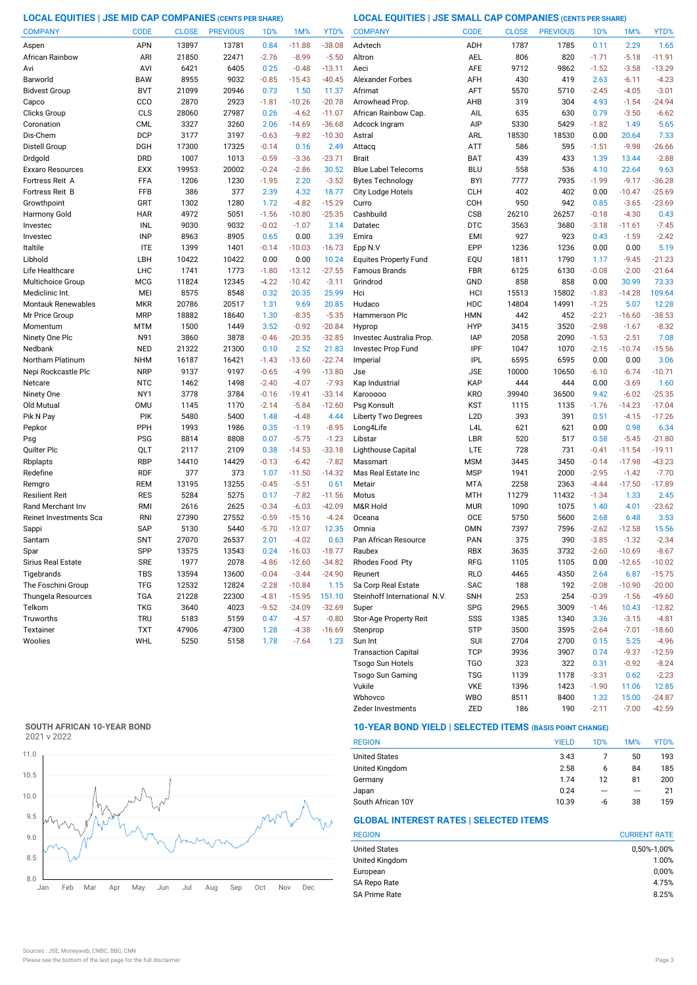#### **LOCAL EQUITIES | JSE MID CAP COMPANIES (CENTS PER SHARE) LOCAL EQUITIES | JSE SMALL CAP COMPANIES (CENTS PER SHARE)**

| <b>COMPANY</b>                   | <b>CODE</b> | <b>CLOSE</b> | <b>PREVIOUS</b> | 1 <sub>D</sub> % | 1M%      | YTD%     | <b>COMPANY</b>               | <b>CODE</b>              | <b>CLOSE</b> | <b>PREVIOUS</b> | 1D%     | 1M%                | YTD%     |
|----------------------------------|-------------|--------------|-----------------|------------------|----------|----------|------------------------------|--------------------------|--------------|-----------------|---------|--------------------|----------|
| Aspen                            | <b>APN</b>  | 13897        | 13781           | 0.84             | $-11.88$ | $-38.08$ | Advtech                      | ADH                      | 1787         | 1785            | 0.11    | 2.29               | 1.65     |
| African Rainbow                  | ARI         | 21850        | 22471           | $-2.76$          | $-8.99$  | $-5.50$  | Altron                       | AEL                      | 806          | 820             | $-1.71$ | $-5.18$            | $-11.91$ |
| Avi                              | AVI         | 6421         | 6405            | 0.25             | $-0.48$  | $-13.11$ | Aeci                         | <b>AFE</b>               | 9712         | 9862            | $-1.52$ | $-3.58$            | $-13.29$ |
| Barworld                         | <b>BAW</b>  | 8955         | 9032            | $-0.85$          | $-15.43$ | $-40.45$ | <b>Alexander Forbes</b>      | AFH                      | 430          | 419             | 2.63    | $-6.11$            | $-4.23$  |
| <b>Bidvest Group</b>             | <b>BVT</b>  | 21099        | 20946           | 0.73             | 1.50     | 11.37    | Afrimat                      | AFT                      | 5570         | 5710            | $-2.45$ | $-4.05$            | $-3.01$  |
| Capco                            | CCO         | 2870         | 2923            | $-1.81$          | $-10.26$ | $-20.78$ | Arrowhead Prop.              | AHB                      | 319          | 304             | 4.93    | $-1.54$            | $-24.94$ |
| Clicks Group                     | CLS         | 28060        | 27987           | 0.26             | $-4.62$  | $-11.07$ | African Rainbow Cap.         | AIL                      | 635          | 630             | 0.79    | $-3.50$            | $-6.62$  |
| Coronation                       | <b>CML</b>  | 3327         | 3260            | 2.06             | $-14.69$ | $-36.68$ | Adcock Ingram                | AIP                      | 5330         | 5429            | $-1.82$ | 1.49               | 5.65     |
| Dis-Chem                         | <b>DCP</b>  | 3177         | 3197            | $-0.63$          | $-9.82$  | $-10.30$ | Astral                       | ARL                      | 18530        | 18530           | 0.00    | 20.64              | 7.33     |
| Distell Group                    | DGH         | 17300        | 17325           | $-0.14$          | 0.16     | 2.49     | Attacq                       | ATT                      | 586          | 595             | $-1.51$ | $-9.98$            | $-26.66$ |
| Drdgold                          | <b>DRD</b>  | 1007         | 1013            | $-0.59$          | $-3.36$  | $-23.71$ | <b>Brait</b>                 | <b>BAT</b>               | 439          | 433             | 1.39    | 13.44              | $-2.88$  |
| Exxaro Resources                 | <b>EXX</b>  | 19953        | 20002           | $-0.24$          | $-2.86$  | 30.52    | <b>Blue Label Telecoms</b>   | <b>BLU</b>               | 558          | 536             | 4.10    | 22.64              | 9.63     |
| Fortress Reit A                  | FFA         | 1206         | 1230            | $-1.95$          | 2.20     | $-3.52$  | <b>Bytes Technology</b>      | <b>BYI</b>               | 7777         | 7935            | $-1.99$ | $-9.17$            | $-36.28$ |
| Fortress Reit B                  | <b>FFB</b>  | 386          | 377             | 2.39             | 4.32     | 18.77    | City Lodge Hotels            | <b>CLH</b>               | 402          | 402             | 0.00    | $-10.47$           | $-25.69$ |
| Growthpoint                      | GRT         | 1302         | 1280            | 1.72             | $-4.82$  | $-15.29$ | Curro                        | COH                      | 950          | 942             | 0.85    | $-3.65$            | $-23.69$ |
| Harmony Gold                     | <b>HAR</b>  | 4972         | 5051            | $-1.56$          | $-10.80$ | $-25.35$ | Cashbuild                    | <b>CSB</b>               | 26210        | 26257           | $-0.18$ | $-4.30$            | 0.43     |
| Investec                         | INL         | 9030         | 9032            | $-0.02$          | $-1.07$  | 3.14     | Datatec                      | <b>DTC</b>               | 3563         | 3680            | $-3.18$ | $-11.61$           | $-7.45$  |
| Investec                         | <b>INP</b>  | 8963         | 8905            | 0.65             | 0.00     | 3.39     | Emira                        | <b>EMI</b>               | 927          | 923             | 0.43    | $-1.59$            | $-2.42$  |
| Italtile                         | <b>ITE</b>  | 1399         | 1401            | $-0.14$          | $-10.03$ | $-16.73$ | Epp N.V                      | EPP                      | 1236         | 1236            | 0.00    | 0.00               | 5.19     |
| Libhold                          | LBH         | 10422        | 10422           | 0.00             | 0.00     | 10.24    | <b>Equites Property Fund</b> | EQU                      | 1811         | 1790            | 1.17    | $-9.45$            | $-21.23$ |
| Life Healthcare                  | <b>LHC</b>  | 1741         | 1773            | $-1.80$          | $-13.12$ | $-27.55$ | <b>Famous Brands</b>         | <b>FBR</b>               | 6125         | 6130            | $-0.08$ | $-2.00$            | $-21.64$ |
| Multichoice Group                | <b>MCG</b>  | 11824        | 12345           | $-4.22$          | $-10.42$ | $-3.11$  | Grindrod                     | GND                      | 858          | 858             | 0.00    | 30.99              | 73.33    |
| Mediclinic Int.                  | MEI         | 8575         | 8548            | 0.32             | 20.35    | 25.99    | Hci                          | HCI                      | 15513        | 15802           | $-1.83$ | $-14.28$           | 109.64   |
| Montauk Renewables               | <b>MKR</b>  | 20786        | 20517           | 1.31             | 9.69     | 20.85    | Hudaco                       | HDC                      | 14804        | 14991           | $-1.25$ | 5.07               | 12.28    |
| Mr Price Group                   | <b>MRP</b>  | 18882        | 18640           | 1.30             | $-8.35$  | $-5.35$  | Hammerson Plc                | <b>HMN</b>               | 442          | 452             | $-2.21$ | $-16.60$           | $-38.53$ |
| Momentum                         | <b>MTM</b>  | 1500         | 1449            | 3.52             | $-0.92$  | $-20.84$ | Hyprop                       | <b>HYP</b>               | 3415         | 3520            | $-2.98$ | $-1.67$            | $-8.32$  |
| Ninety One Plc                   | N91         | 3860         | 3878            | $-0.46$          | $-20.35$ | $-32.85$ | Investec Australia Prop.     | <b>IAP</b>               | 2058         | 2090            | $-1.53$ | $-2.51$            | 7.08     |
| Nedbank                          | <b>NED</b>  | 21322        | 21300           | 0.10             | 2.52     | 21.83    | Investec Prop Fund           | IPF                      | 1047         | 1070            | $-2.15$ | $-10.74$           | $-15.56$ |
| Northam Platinum                 | <b>NHM</b>  | 16187        | 16421           | $-1.43$          | $-13.60$ | $-22.74$ | Imperial                     | <b>IPL</b>               | 6595         | 6595            | 0.00    | 0.00               | 3.06     |
| Nepi Rockcastle Plc              | <b>NRP</b>  | 9137         | 9197            | $-0.65$          | $-4.99$  | $-13.80$ | Jse                          | <b>JSE</b>               | 10000        | 10650           | $-6.10$ | $-6.74$            | $-10.71$ |
| Netcare                          | <b>NTC</b>  | 1462         | 1498            | $-2.40$          | $-4.07$  | $-7.93$  | Kap Industrial               | KAP                      | 444          | 444             | 0.00    | $-3.69$            | 1.60     |
| Ninety One                       | NY1         | 3778         | 3784            | $-0.16$          | $-19.41$ | $-33.14$ | Karooooo                     | <b>KRO</b>               | 39940        | 36500           | 9.42    | $-6.02$            | $-25.35$ |
| Old Mutual                       | <b>OMU</b>  | 1145         | 1170            | $-2.14$          | $-5.84$  | $-12.60$ | Psg Konsult                  | <b>KST</b>               | 1115         | 1135            | $-1.76$ | $-14.23$           | $-17.04$ |
| Pik N Pay                        | <b>PIK</b>  | 5480         | 5400            | 1.48             | $-4.48$  | 4.44     | <b>Liberty Two Degrees</b>   | L <sub>2</sub> D         | 393          | 391             | 0.51    | $-4.15$            | $-17.26$ |
| Pepkor                           | PPH         | 1993         | 1986            | 0.35             | $-1.19$  | $-8.95$  | Long4Life                    | L <sub>4</sub> L         | 621          | 621             | 0.00    | 0.98               | 6.34     |
| Psg                              | <b>PSG</b>  | 8814         | 8808            | 0.07             | $-5.75$  | $-1.23$  | Libstar                      | LBR                      | 520          | 517             | 0.58    | $-5.45$            | $-21.80$ |
| Quilter Plc                      | QLT         | 2117         | 2109            | 0.38             | $-14.53$ | $-33.18$ | Lighthouse Capital           | LTE                      | 728          | 731             | $-0.41$ | $-11.54$           | $-19.11$ |
| Rbplapts                         | <b>RBP</b>  | 14410        | 14429           | $-0.13$          | $-6.42$  | $-7.82$  | Massmart                     | <b>MSM</b>               | 3445         | 3450            | $-0.14$ | $-17.98$           | $-43.23$ |
| Redefine                         | <b>RDF</b>  | 377          | 373             | 1.07             | $-11.50$ | $-14.32$ | Mas Real Estate Inc          | <b>MSP</b>               | 1941         | 2000            | $-2.95$ | $-1.42$            | $-7.70$  |
| Remgro                           | REM         | 13195        | 13255           | $-0.45$          | $-5.51$  | 0.61     | Metair                       | <b>MTA</b>               | 2258         | 2363            | $-4.44$ | $-17.50$           | $-17.89$ |
| Resilient Reit                   | <b>RES</b>  | 5284         | 5275            | 0.17             | $-7.82$  | $-11.56$ | Motus                        | <b>MTH</b>               | 11279        | 11432           | $-1.34$ | 1.33               | 2.45     |
| Rand Merchant Inv                | RMI         | 2616         | 2625            | $-0.34$          | $-6.03$  | $-42.09$ | M&R Hold                     | <b>MUR</b>               | 1090         | 1075            | 1.40    | 4.01               | $-23.62$ |
| Reinet Investments Sca           | <b>RNI</b>  | 27390        | 27552           | $-0.59$          | $-15.16$ | $-4.24$  | Oceana                       | <b>OCE</b>               | 5750         | 5600            | 2.68    | 6.48               | 3.53     |
| Sappi                            | <b>SAP</b>  | 5130         | 5440            | $-5.70$          | $-13.07$ | 12.35    | Omnia                        | <b>OMN</b>               | 7397         | 7596            | $-2.62$ | $-12.58$           | 15.56    |
| Santam                           | <b>SNT</b>  | 27070        | 26537           | 2.01             | $-4.02$  | 0.63     | Pan African Resource         | <b>PAN</b>               | 375          | 390             | $-3.85$ | $-1.32$            | $-2.34$  |
| Spar                             | SPP         | 13575        | 13543           | 0.24             | $-16.03$ | $-18.77$ | Raubex                       | <b>RBX</b>               | 3635         | 3732            | $-2.60$ | $-10.69$           | $-8.67$  |
| Sirius Real Estate               | <b>SRE</b>  | 1977         | 2078            | $-4.86$          | $-12.60$ | $-34.82$ | Rhodes Food Pty              | RFG                      | 1105         | 1105            | 0.00    | $-12.65$           | $-10.02$ |
| Tigebrands<br>The Foschini Group | <b>TBS</b>  | 13594        | 13600           | $-0.04$          | $-3.44$  | $-24.90$ | Reunert                      | <b>RLO</b>               | 4465         | 4350            | 2.64    | 6.87               | $-15.75$ |
|                                  | <b>TFG</b>  | 12532        | 12824           | $-2.28$          | $-10.84$ | 1.15     | Sa Corp Real Estate          | SAC                      | 188          | 192             | $-2.08$ | $-10.90$           | $-20.00$ |
| Thungela Resources               | <b>TGA</b>  | 21228        | 22300           | $-4.81$          | $-15.95$ | 151.10   | Steinhoff International N.V. | <b>SNH</b>               | 253          | 254             | $-0.39$ | $-1.56$            | $-49.60$ |
| Telkom                           | <b>TKG</b>  | 3640         | 4023            | $-9.52$          | $-24.09$ | $-32.69$ | Super                        | SPG                      | 2965         | 3009            | $-1.46$ | 10.43              | $-12.82$ |
| Truworths<br>Textainer           | <b>TRU</b>  | 5183         | 5159            | 0.47             | $-4.57$  | $-0.80$  | Stor-Age Property Reit       | SSS                      | 1385         | 1340            | 3.36    | $-3.15$            | $-4.81$  |
|                                  | <b>TXT</b>  | 47906        | 47300           | 1.28             | $-4.38$  | $-16.69$ | Stenprop                     | <b>STP</b>               | 3500         | 3595            | $-2.64$ | $-7.01$            | $-18.60$ |
| Woolies                          | WHL         | 5250         | 5158            | 1.78             | $-7.64$  | 1.23     | Sun Int                      | <b>SUI</b><br><b>TCP</b> | 2704         | 2700<br>3907    | 0.15    | 5.25               | $-4.96$  |
|                                  |             |              |                 |                  |          |          | <b>Transaction Capital</b>   | <b>TGO</b>               | 3936         |                 | 0.74    | $-9.37$<br>$-0.92$ | $-12.59$ |
|                                  |             |              |                 |                  |          |          | Tsogo Sun Hotels             |                          | 323          | 322             | 0.31    |                    | $-8.24$  |

### **SOUTH AFRICAN 10-YEAR BOND**

2021 v 2022



### **10-YEAR BOND YIELD | SELECTED ITEMS (BASIS POINT CHANGE)**

| <b>REGION</b>        | <b>YIELD</b> | 1D% | 1M%     | YTD% |
|----------------------|--------------|-----|---------|------|
| <b>United States</b> | 3.43         |     | 50      | 193  |
| United Kingdom       | 2.58         | 6   | 84      | 185  |
| Germany              | 1.74         | 12  | 81      | 200  |
| Japan                | 0.24         | --- | $- - -$ | 21   |
| South African 10Y    | 10.39        | -6  | 38      | 159  |

Wbhovco WBO 8511 8400 1.32 15.00 -24.87 Vukile VKE 1396 1423 -1.90 11.06

Zeder Investments 2ED 186 190 -2.11 -7.00 -42.59

Tsogo Sun Gaming TSG 1139 1178 -3.31 0.62 -2.23

#### **GLOBAL INTEREST RATES | SELECTED ITEMS**

| <b>CURRENT RATE</b> |
|---------------------|
| 0,50%-1,00%         |
| 1.00%               |
| 0,00%               |
| 4.75%               |
| 8.25%               |
|                     |

12.85<br>-24.87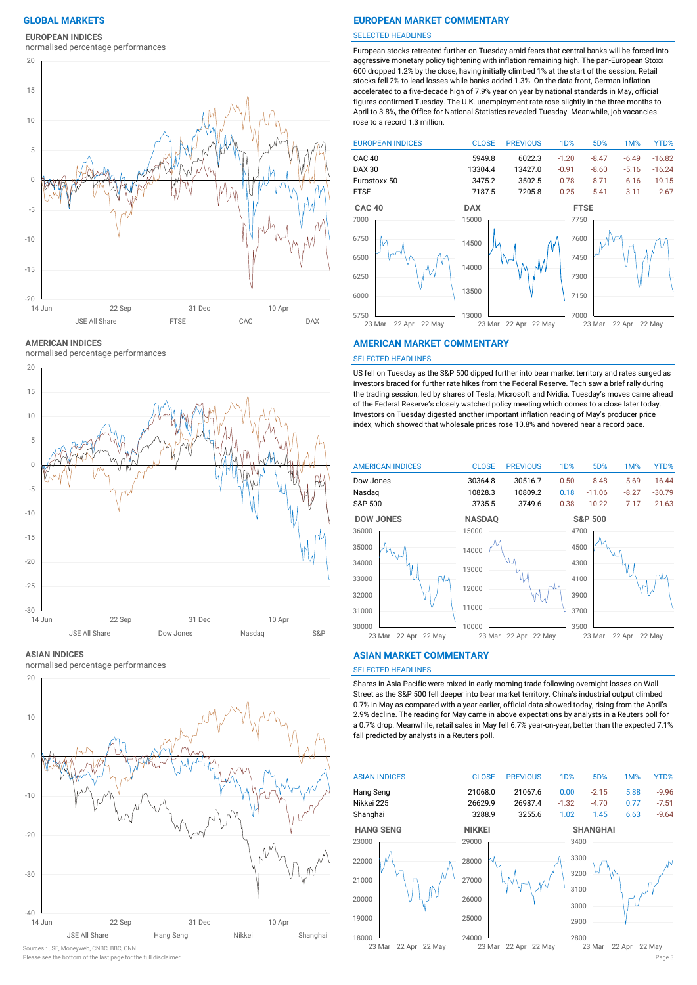### **EUROPEAN INDICES**

normalised percentage performances



**AMERICAN INDICES**

normalised percentage performances



#### **ASIAN INDICES**

normalised percentage performances



#### Please see the bottom of the last page for the full disclaimer Page 3

#### **GLOBAL MARKETS EUROPEAN MARKET COMMENTARY**

#### SELECTED HEADLINES

European stocks retreated further on Tuesday amid fears that central banks will be forced into aggressive monetary policy tightening with inflation remaining high. The pan-European Stoxx 600 dropped 1.2% by the close, having initially climbed 1% at the start of the session. Retail stocks fell 2% to lead losses while banks added 1.3%. On the data front, German inflation accelerated to a five-decade high of 7.9% year on year by national standards in May, official figures confirmed Tuesday. The U.K. unemployment rate rose slightly in the three months to April to 3.8%, the Office for National Statistics revealed Tuesday. Meanwhile, job vacancies rose to a record 1.3 million.



#### **AMERICAN MARKET COMMENTARY**

#### SELECTED HEADLINES

US fell on Tuesday as the S&P 500 dipped further into bear market territory and rates surged as investors braced for further rate hikes from the Federal Reserve. Tech saw a brief rally during the trading session, led by shares of Tesla, Microsoft and Nvidia. Tuesday's moves came ahead of the Federal Reserve's closely watched policy meeting which comes to a close later today. Investors on Tuesday digested another important inflation reading of May's producer price index, which showed that wholesale prices rose 10.8% and hovered near a record pace.



#### **ASIAN MARKET COMMENTARY**

#### SELECTED HEADLINES

Shares in Asia-Pacific were mixed in early morning trade following overnight losses on Wall Street as the S&P 500 fell deeper into bear market territory. China's industrial output climbed 0.7% in May as compared with a year earlier, official data showed today, rising from the April's 2.9% decline. The reading for May came in above expectations by analysts in a Reuters poll for a 0.7% drop. Meanwhile, retail sales in May fell 6.7% year-on-year, better than the expected 7.1% fall predicted by analysts in a Reuters poll.